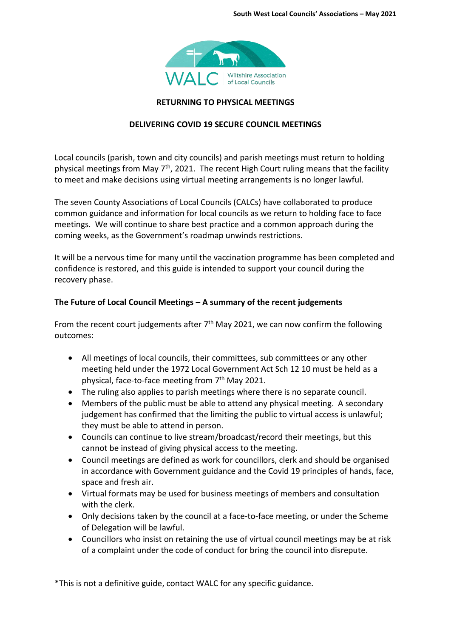

### **RETURNING TO PHYSICAL MEETINGS**

# **DELIVERING COVID 19 SECURE COUNCIL MEETINGS**

Local councils (parish, town and city councils) and parish meetings must return to holding physical meetings from May  $7<sup>th</sup>$ , 2021. The recent High Court ruling means that the facility to meet and make decisions using virtual meeting arrangements is no longer lawful.

The seven County Associations of Local Councils (CALCs) have collaborated to produce common guidance and information for local councils as we return to holding face to face meetings. We will continue to share best practice and a common approach during the coming weeks, as the Government's roadmap unwinds restrictions.

It will be a nervous time for many until the vaccination programme has been completed and confidence is restored, and this guide is intended to support your council during the recovery phase.

### **The Future of Local Council Meetings – A summary of the recent judgements**

From the recent court judgements after  $7<sup>th</sup>$  May 2021, we can now confirm the following outcomes:

- All meetings of local councils, their committees, sub committees or any other meeting held under the 1972 Local Government Act Sch 12 10 must be held as a physical, face-to-face meeting from 7<sup>th</sup> May 2021.
- The ruling also applies to parish meetings where there is no separate council.
- Members of the public must be able to attend any physical meeting. A secondary judgement has confirmed that the limiting the public to virtual access is unlawful; they must be able to attend in person.
- Councils can continue to live stream/broadcast/record their meetings, but this cannot be instead of giving physical access to the meeting.
- Council meetings are defined as work for councillors, clerk and should be organised in accordance with Government guidance and the Covid 19 principles of hands, face, space and fresh air.
- Virtual formats may be used for business meetings of members and consultation with the clerk.
- Only decisions taken by the council at a face-to-face meeting, or under the Scheme of Delegation will be lawful.
- Councillors who insist on retaining the use of virtual council meetings may be at risk of a complaint under the code of conduct for bring the council into disrepute.

\*This is not a definitive guide, contact WALC for any specific guidance.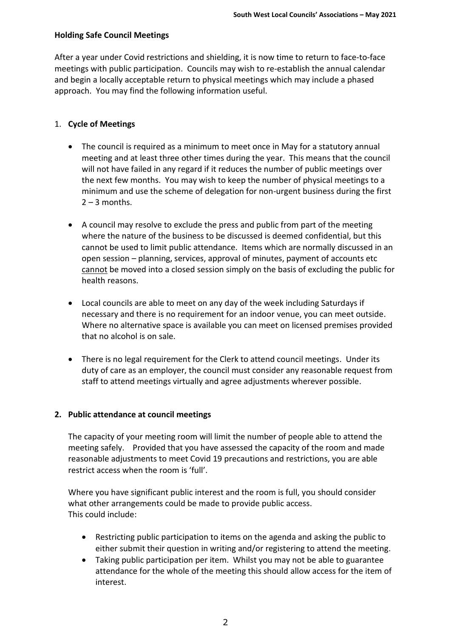## **Holding Safe Council Meetings**

After a year under Covid restrictions and shielding, it is now time to return to face-to-face meetings with public participation. Councils may wish to re-establish the annual calendar and begin a locally acceptable return to physical meetings which may include a phased approach. You may find the following information useful.

### 1. **Cycle of Meetings**

- The council is required as a minimum to meet once in May for a statutory annual meeting and at least three other times during the year. This means that the council will not have failed in any regard if it reduces the number of public meetings over the next few months. You may wish to keep the number of physical meetings to a minimum and use the scheme of delegation for non-urgent business during the first  $2 - 3$  months.
- A council may resolve to exclude the press and public from part of the meeting where the nature of the business to be discussed is deemed confidential, but this cannot be used to limit public attendance. Items which are normally discussed in an open session – planning, services, approval of minutes, payment of accounts etc cannot be moved into a closed session simply on the basis of excluding the public for health reasons.
- Local councils are able to meet on any day of the week including Saturdays if necessary and there is no requirement for an indoor venue, you can meet outside. Where no alternative space is available you can meet on licensed premises provided that no alcohol is on sale.
- There is no legal requirement for the Clerk to attend council meetings. Under its duty of care as an employer, the council must consider any reasonable request from staff to attend meetings virtually and agree adjustments wherever possible.

#### **2. Public attendance at council meetings**

The capacity of your meeting room will limit the number of people able to attend the meeting safely. Provided that you have assessed the capacity of the room and made reasonable adjustments to meet Covid 19 precautions and restrictions, you are able restrict access when the room is 'full'.

Where you have significant public interest and the room is full, you should consider what other arrangements could be made to provide public access. This could include:

- Restricting public participation to items on the agenda and asking the public to either submit their question in writing and/or registering to attend the meeting.
- Taking public participation per item. Whilst you may not be able to guarantee attendance for the whole of the meeting this should allow access for the item of interest.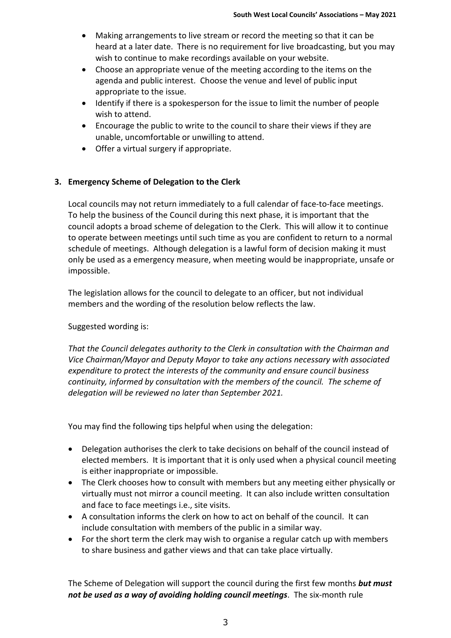- Making arrangements to live stream or record the meeting so that it can be heard at a later date. There is no requirement for live broadcasting, but you may wish to continue to make recordings available on your website.
- Choose an appropriate venue of the meeting according to the items on the agenda and public interest. Choose the venue and level of public input appropriate to the issue.
- Identify if there is a spokesperson for the issue to limit the number of people wish to attend.
- Encourage the public to write to the council to share their views if they are unable, uncomfortable or unwilling to attend.
- Offer a virtual surgery if appropriate.

# **3. Emergency Scheme of Delegation to the Clerk**

Local councils may not return immediately to a full calendar of face-to-face meetings. To help the business of the Council during this next phase, it is important that the council adopts a broad scheme of delegation to the Clerk. This will allow it to continue to operate between meetings until such time as you are confident to return to a normal schedule of meetings. Although delegation is a lawful form of decision making it must only be used as a emergency measure, when meeting would be inappropriate, unsafe or impossible.

The legislation allows for the council to delegate to an officer, but not individual members and the wording of the resolution below reflects the law.

# Suggested wording is:

*That the Council delegates authority to the Clerk in consultation with the Chairman and Vice Chairman/Mayor and Deputy Mayor to take any actions necessary with associated expenditure to protect the interests of the community and ensure council business continuity, informed by consultation with the members of the council. The scheme of delegation will be reviewed no later than September 2021.*

You may find the following tips helpful when using the delegation:

- Delegation authorises the clerk to take decisions on behalf of the council instead of elected members. It is important that it is only used when a physical council meeting is either inappropriate or impossible.
- The Clerk chooses how to consult with members but any meeting either physically or virtually must not mirror a council meeting. It can also include written consultation and face to face meetings i.e., site visits.
- A consultation informs the clerk on how to act on behalf of the council. It can include consultation with members of the public in a similar way.
- For the short term the clerk may wish to organise a regular catch up with members to share business and gather views and that can take place virtually.

The Scheme of Delegation will support the council during the first few months *but must not be used as a way of avoiding holding council meetings*. The six-month rule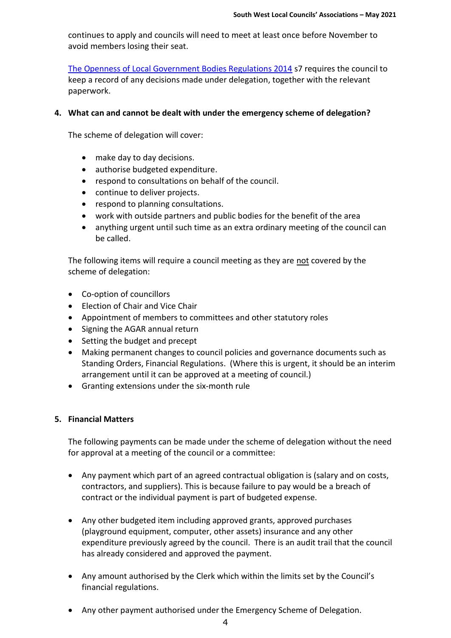continues to apply and councils will need to meet at least once before November to avoid members losing their seat.

[The Openness of Local Government Bodies Regulations 2014](https://www.legislation.gov.uk/ukdsi/2014/9780111113554) s7 requires the council to keep a record of any decisions made under delegation, together with the relevant paperwork.

#### **4. What can and cannot be dealt with under the emergency scheme of delegation?**

The scheme of delegation will cover:

- make day to day decisions.
- authorise budgeted expenditure.
- respond to consultations on behalf of the council.
- continue to deliver projects.
- respond to planning consultations.
- work with outside partners and public bodies for the benefit of the area
- anything urgent until such time as an extra ordinary meeting of the council can be called.

The following items will require a council meeting as they are not covered by the scheme of delegation:

- Co-option of councillors
- Election of Chair and Vice Chair
- Appointment of members to committees and other statutory roles
- Signing the AGAR annual return
- Setting the budget and precept
- Making permanent changes to council policies and governance documents such as Standing Orders, Financial Regulations. (Where this is urgent, it should be an interim arrangement until it can be approved at a meeting of council.)
- Granting extensions under the six-month rule

#### **5. Financial Matters**

The following payments can be made under the scheme of delegation without the need for approval at a meeting of the council or a committee:

- Any payment which part of an agreed contractual obligation is (salary and on costs, contractors, and suppliers). This is because failure to pay would be a breach of contract or the individual payment is part of budgeted expense.
- Any other budgeted item including approved grants, approved purchases (playground equipment, computer, other assets) insurance and any other expenditure previously agreed by the council. There is an audit trail that the council has already considered and approved the payment.
- Any amount authorised by the Clerk which within the limits set by the Council's financial regulations.
- Any other payment authorised under the Emergency Scheme of Delegation.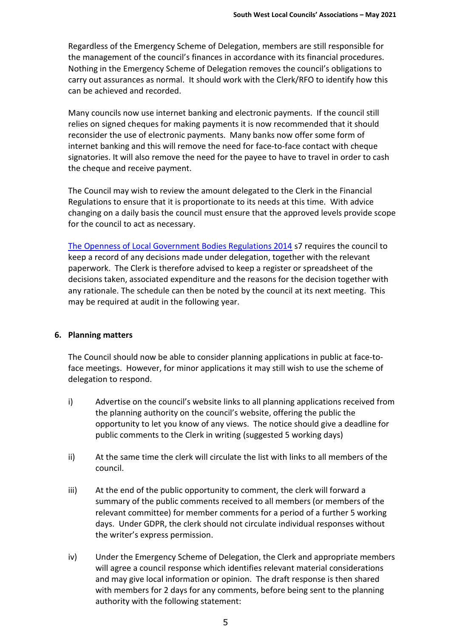Regardless of the Emergency Scheme of Delegation, members are still responsible for the management of the council's finances in accordance with its financial procedures. Nothing in the Emergency Scheme of Delegation removes the council's obligations to carry out assurances as normal. It should work with the Clerk/RFO to identify how this can be achieved and recorded.

Many councils now use internet banking and electronic payments. If the council still relies on signed cheques for making payments it is now recommended that it should reconsider the use of electronic payments. Many banks now offer some form of internet banking and this will remove the need for face-to-face contact with cheque signatories. It will also remove the need for the payee to have to travel in order to cash the cheque and receive payment.

The Council may wish to review the amount delegated to the Clerk in the Financial Regulations to ensure that it is proportionate to its needs at this time. With advice changing on a daily basis the council must ensure that the approved levels provide scope for the council to act as necessary.

[The Openness of Local Government Bodies Regulations 2014](https://www.legislation.gov.uk/ukdsi/2014/9780111113554) s7 requires the council to keep a record of any decisions made under delegation, together with the relevant paperwork. The Clerk is therefore advised to keep a register or spreadsheet of the decisions taken, associated expenditure and the reasons for the decision together with any rationale. The schedule can then be noted by the council at its next meeting. This may be required at audit in the following year.

# **6. Planning matters**

The Council should now be able to consider planning applications in public at face-toface meetings. However, for minor applications it may still wish to use the scheme of delegation to respond.

- i) Advertise on the council's website links to all planning applications received from the planning authority on the council's website, offering the public the opportunity to let you know of any views. The notice should give a deadline for public comments to the Clerk in writing (suggested 5 working days)
- ii) At the same time the clerk will circulate the list with links to all members of the council.
- iii) At the end of the public opportunity to comment, the clerk will forward a summary of the public comments received to all members (or members of the relevant committee) for member comments for a period of a further 5 working days. Under GDPR, the clerk should not circulate individual responses without the writer's express permission.
- iv) Under the Emergency Scheme of Delegation, the Clerk and appropriate members will agree a council response which identifies relevant material considerations and may give local information or opinion. The draft response is then shared with members for 2 days for any comments, before being sent to the planning authority with the following statement: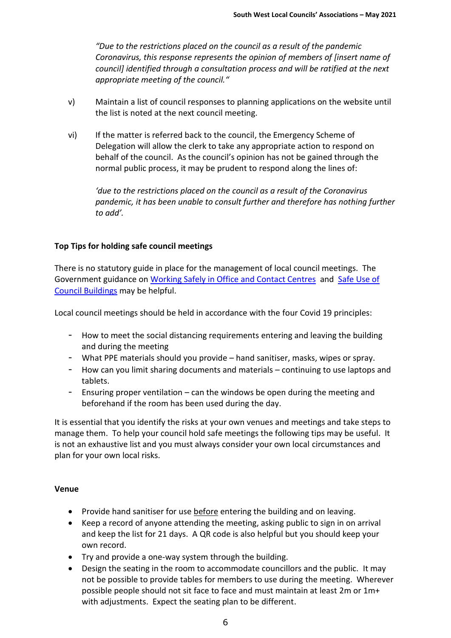*"Due to the restrictions placed on the council as a result of the pandemic Coronavirus, this response represents the opinion of members of [insert name of council] identified through a consultation process and will be ratified at the next appropriate meeting of the council."*

- v) Maintain a list of council responses to planning applications on the website until the list is noted at the next council meeting.
- vi) If the matter is referred back to the council, the Emergency Scheme of Delegation will allow the clerk to take any appropriate action to respond on behalf of the council. As the council's opinion has not be gained through the normal public process, it may be prudent to respond along the lines of:

*'due to the restrictions placed on the council as a result of the Coronavirus pandemic, it has been unable to consult further and therefore has nothing further to add'.*

### **Top Tips for holding safe council meetings**

There is no statutory guide in place for the management of local council meetings. The Government guidance on [Working Safely in Office and Contact Centres](https://www.gov.uk/guidance/working-safely-during-coronavirus-covid-19/offices-and-contact-centres) and [Safe Use of](https://www.gov.uk/government/publications/covid-19-guidance-for-the-safe-use-of-council-buildings/covid-19-guidance-for-the-safe-use-of-council-buildings)  [Council Buildings](https://www.gov.uk/government/publications/covid-19-guidance-for-the-safe-use-of-council-buildings/covid-19-guidance-for-the-safe-use-of-council-buildings) may be helpful.

Local council meetings should be held in accordance with the four Covid 19 principles:

- How to meet the social distancing requirements entering and leaving the building and during the meeting
- What PPE materials should you provide hand sanitiser, masks, wipes or spray.
- How can you limit sharing documents and materials continuing to use laptops and tablets.
- Ensuring proper ventilation can the windows be open during the meeting and beforehand if the room has been used during the day.

It is essential that you identify the risks at your own venues and meetings and take steps to manage them. To help your council hold safe meetings the following tips may be useful. It is not an exhaustive list and you must always consider your own local circumstances and plan for your own local risks.

#### **Venue**

- Provide hand sanitiser for use before entering the building and on leaving.
- Keep a record of anyone attending the meeting, asking public to sign in on arrival and keep the list for 21 days. A QR code is also helpful but you should keep your own record.
- Try and provide a one-way system through the building.
- Design the seating in the room to accommodate councillors and the public. It may not be possible to provide tables for members to use during the meeting. Wherever possible people should not sit face to face and must maintain at least 2m or 1m+ with adjustments. Expect the seating plan to be different.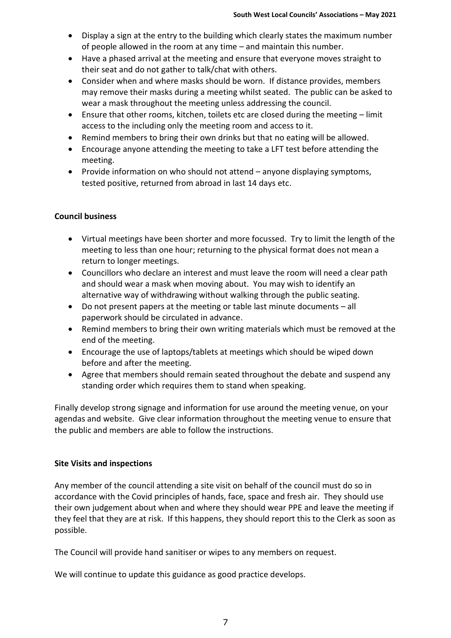- Display a sign at the entry to the building which clearly states the maximum number of people allowed in the room at any time – and maintain this number.
- Have a phased arrival at the meeting and ensure that everyone moves straight to their seat and do not gather to talk/chat with others.
- Consider when and where masks should be worn. If distance provides, members may remove their masks during a meeting whilst seated. The public can be asked to wear a mask throughout the meeting unless addressing the council.
- Ensure that other rooms, kitchen, toilets etc are closed during the meeting limit access to the including only the meeting room and access to it.
- Remind members to bring their own drinks but that no eating will be allowed.
- Encourage anyone attending the meeting to take a LFT test before attending the meeting.
- Provide information on who should not attend anyone displaying symptoms, tested positive, returned from abroad in last 14 days etc.

### **Council business**

- Virtual meetings have been shorter and more focussed. Try to limit the length of the meeting to less than one hour; returning to the physical format does not mean a return to longer meetings.
- Councillors who declare an interest and must leave the room will need a clear path and should wear a mask when moving about. You may wish to identify an alternative way of withdrawing without walking through the public seating.
- Do not present papers at the meeting or table last minute documents all paperwork should be circulated in advance.
- Remind members to bring their own writing materials which must be removed at the end of the meeting.
- Encourage the use of laptops/tablets at meetings which should be wiped down before and after the meeting.
- Agree that members should remain seated throughout the debate and suspend any standing order which requires them to stand when speaking.

Finally develop strong signage and information for use around the meeting venue, on your agendas and website. Give clear information throughout the meeting venue to ensure that the public and members are able to follow the instructions.

#### **Site Visits and inspections**

Any member of the council attending a site visit on behalf of the council must do so in accordance with the Covid principles of hands, face, space and fresh air. They should use their own judgement about when and where they should wear PPE and leave the meeting if they feel that they are at risk. If this happens, they should report this to the Clerk as soon as possible.

The Council will provide hand sanitiser or wipes to any members on request.

We will continue to update this guidance as good practice develops.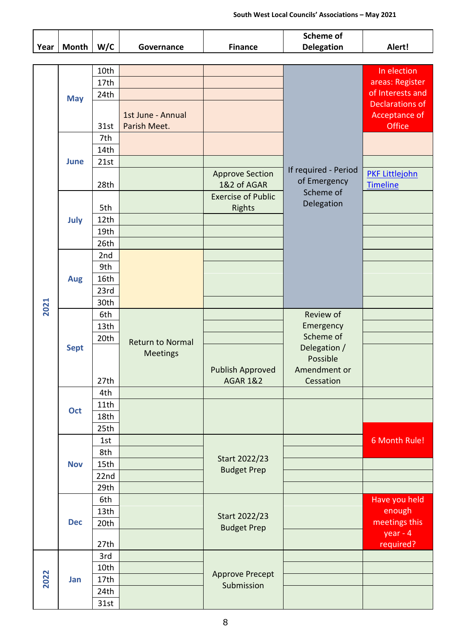|      |             |             |                         |                                            | <b>Scheme of</b>                                                |                         |
|------|-------------|-------------|-------------------------|--------------------------------------------|-----------------------------------------------------------------|-------------------------|
| Year | Month       | W/C         | Governance              | <b>Finance</b>                             | <b>Delegation</b>                                               | Alert!                  |
|      |             |             |                         |                                            |                                                                 |                         |
| 2021 | <b>May</b>  | 10th        |                         |                                            |                                                                 | In election             |
|      |             | 17th        |                         |                                            |                                                                 | areas: Register         |
|      |             | 24th        |                         |                                            |                                                                 | of Interests and        |
|      |             |             |                         |                                            |                                                                 | Declarations of         |
|      |             |             | 1st June - Annual       |                                            |                                                                 | Acceptance of           |
|      |             | 31st        | Parish Meet.            |                                            | If required - Period<br>of Emergency<br>Scheme of<br>Delegation | Office                  |
|      | <b>June</b> | 7th         |                         |                                            |                                                                 |                         |
|      |             | 14th        |                         |                                            |                                                                 |                         |
|      |             | 21st        |                         |                                            |                                                                 |                         |
|      |             |             |                         | <b>Approve Section</b><br>1&2 of AGAR      |                                                                 | <b>PKF Littlejohn</b>   |
|      |             | 28th        |                         |                                            |                                                                 | <b>Timeline</b>         |
|      | July        | 5th         |                         | <b>Exercise of Public</b><br><b>Rights</b> |                                                                 |                         |
|      |             | 12th        |                         |                                            |                                                                 |                         |
|      |             | 19th        |                         |                                            |                                                                 |                         |
|      |             | 26th        |                         |                                            |                                                                 |                         |
|      |             | 2nd         |                         |                                            |                                                                 |                         |
|      | <b>Aug</b>  | 9th         |                         |                                            |                                                                 |                         |
|      |             | 16th        |                         |                                            |                                                                 |                         |
|      |             | 23rd        |                         |                                            |                                                                 |                         |
|      |             | 30th        |                         |                                            |                                                                 |                         |
|      |             | 6th         |                         |                                            | Review of                                                       |                         |
|      | <b>Sept</b> | 13th        |                         |                                            | Emergency                                                       |                         |
|      |             | 20th        |                         |                                            | Scheme of                                                       |                         |
|      |             |             | <b>Return to Normal</b> |                                            | Delegation /                                                    |                         |
|      |             |             | <b>Meetings</b>         |                                            | Possible                                                        |                         |
|      |             |             |                         | <b>Publish Approved</b>                    | Amendment or                                                    |                         |
|      |             | 27th        |                         | <b>AGAR 1&amp;2</b>                        | Cessation                                                       |                         |
|      | Oct         | 4th         |                         |                                            |                                                                 |                         |
|      |             | 11th        |                         |                                            |                                                                 |                         |
|      |             | 18th        |                         |                                            |                                                                 |                         |
|      |             | 25th        |                         |                                            |                                                                 |                         |
|      | <b>Nov</b>  | 1st         |                         | Start 2022/23<br><b>Budget Prep</b>        |                                                                 | 6 Month Rule!           |
|      |             | 8th         |                         |                                            |                                                                 |                         |
|      |             | 15th        |                         |                                            |                                                                 |                         |
|      |             | 22nd        |                         |                                            |                                                                 |                         |
|      |             | 29th<br>6th |                         |                                            |                                                                 |                         |
|      | <b>Dec</b>  | 13th        |                         | Start 2022/23<br><b>Budget Prep</b>        |                                                                 | Have you held<br>enough |
|      |             | 20th        |                         |                                            |                                                                 | meetings this           |
|      |             |             |                         |                                            |                                                                 | $year - 4$              |
|      |             | 27th        |                         |                                            |                                                                 | required?               |
| 2022 | Jan         | 3rd         |                         | <b>Approve Precept</b><br>Submission       |                                                                 |                         |
|      |             | 10th        |                         |                                            |                                                                 |                         |
|      |             | 17th        |                         |                                            |                                                                 |                         |
|      |             | 24th        |                         |                                            |                                                                 |                         |
|      |             | 31st        |                         |                                            |                                                                 |                         |